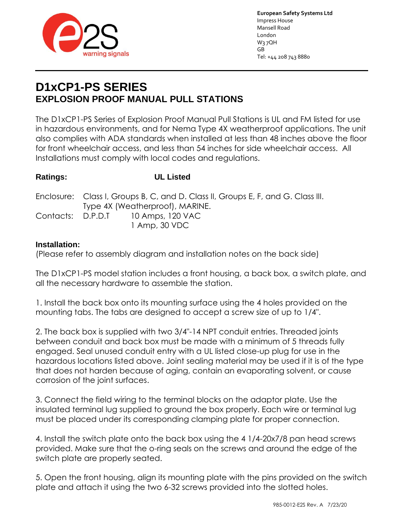

**European Safety Systems Ltd** Impress House Mansell Road London W3 7QH GB Tel: +44 208 743 8880

# **D1xCP1-PS SERIES EXPLOSION PROOF MANUAL PULL STATIONS**

The D1xCP1-PS Series of Explosion Proof Manual Pull Stations is UL and FM listed for use in hazardous environments, and for Nema Type 4X weatherproof applications. The unit also complies with ADA standards when installed at less than 48 inches above the floor for front wheelchair access, and less than 54 inches for side wheelchair access. All Installations must comply with local codes and regulations.

### **Ratings: UL Listed**

|  | Enclosure: Class I, Groups B, C, and D. Class II, Groups E, F, and G. Class III. |                                    |
|--|----------------------------------------------------------------------------------|------------------------------------|
|  | Type 4X (Weatherproof), MARINE.                                                  |                                    |
|  |                                                                                  | Contacts: D.P.D.T 10 Amps, 120 VAC |
|  |                                                                                  | 1 Amp, 30 VDC                      |

#### **Installation:**

(Please refer to assembly diagram and installation notes on the back side)

The D1xCP1-PS model station includes a front housing, a back box, a switch plate, and all the necessary hardware to assemble the station.

1. Install the back box onto its mounting surface using the 4 holes provided on the mounting tabs. The tabs are designed to accept a screw size of up to 1/4".

2. The back box is supplied with two 3/4"-14 NPT conduit entries. Threaded joints between conduit and back box must be made with a minimum of 5 threads fully engaged. Seal unused conduit entry with a UL listed close-up plug for use in the hazardous locations listed above. Joint sealing material may be used if it is of the type that does not harden because of aging, contain an evaporating solvent, or cause corrosion of the joint surfaces.

3. Connect the field wiring to the terminal blocks on the adaptor plate. Use the insulated terminal lug supplied to ground the box properly. Each wire or terminal lug must be placed under its corresponding clamping plate for proper connection.

4. Install the switch plate onto the back box using the 4 1/4-20x7/8 pan head screws provided. Make sure that the o-ring seals on the screws and around the edge of the switch plate are properly seated.

5. Open the front housing, align its mounting plate with the pins provided on the switch plate and attach it using the two 6-32 screws provided into the slotted holes.